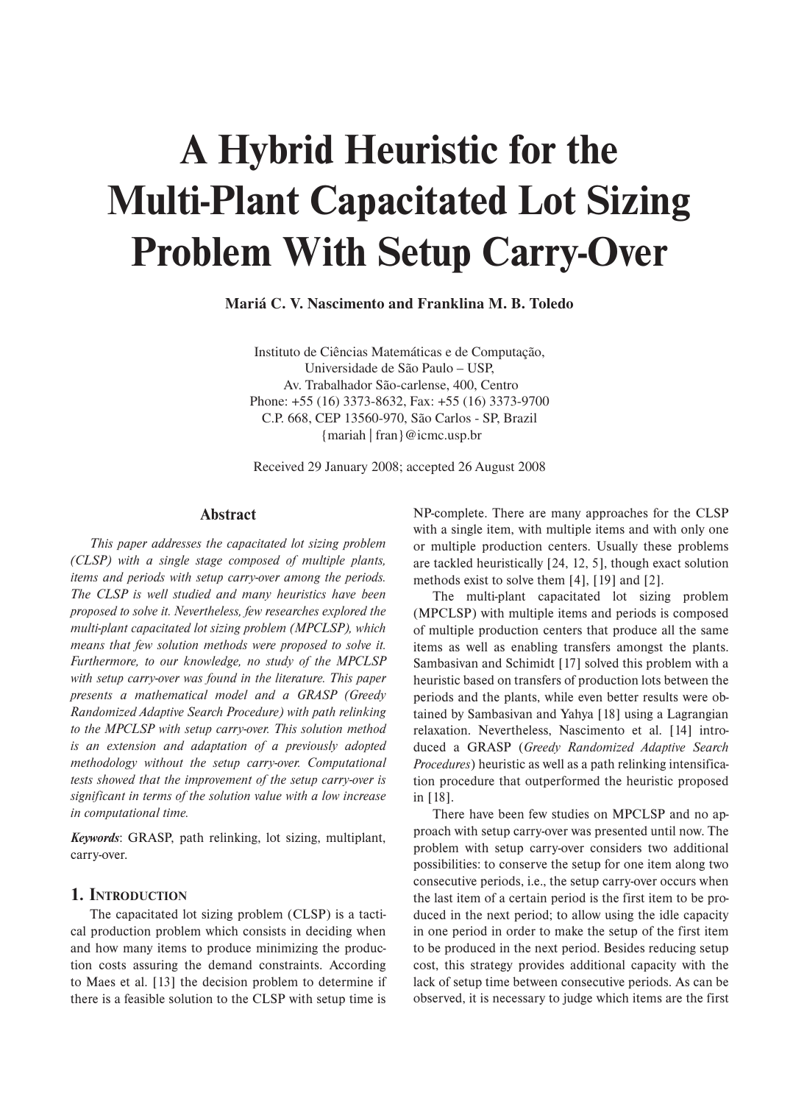# **A Hybrid Heuristic for the Multi-Plant Capacitated Lot Sizing Problem With Setup Carry-Over**

**Mariá C. V. Nascimento and Franklina M. B. Toledo**

Instituto de Ciências Matemáticas e de Computação, Universidade de São Paulo – USP, Av. Trabalhador São-carlense, 400, Centro Phone: +55 (16) 3373-8632, Fax: +55 (16) 3373-9700 C.P. 668, CEP 13560-970, São Carlos - SP, Brazil {mariah | fran}@icmc.usp.br

Received 29 January 2008; accepted 26 August 2008

#### **Abstract**

*This paper addresses the capacitated lot sizing problem (CLSP) with a single stage composed of multiple plants, items and periods with setup carry-over among the periods. The CLSP is well studied and many heuristics have been proposed to solve it. Nevertheless, few researches explored the multi-plant capacitated lot sizing problem (MPCLSP), which means that few solution methods were proposed to solve it. Furthermore, to our knowledge, no study of the MPCLSP with setup carry-over was found in the literature. This paper presents a mathematical model and a GRASP (Greedy Randomized Adaptive Search Procedure) with path relinking to the MPCLSP with setup carry-over. This solution method is an extension and adaptation of a previously adopted methodology without the setup carry-over. Computational tests showed that the improvement of the setup carry-over is significant in terms of the solution value with a low increase in computational time.* 

*Keywords*: GRASP, path relinking, lot sizing, multiplant, carry-over.

## **1. INTRODUCTION**

The capacitated lot sizing problem (CLSP) is a tactical production problem which consists in deciding when and how many items to produce minimizing the production costs assuring the demand constraints. According to Maes et al. [13] the decision problem to determine if there is a feasible solution to the CLSP with setup time is NP-complete. There are many approaches for the CLSP with a single item, with multiple items and with only one or multiple production centers. Usually these problems are tackled heuristically [24, 12, 5], though exact solution methods exist to solve them [4], [19] and [2].

The multi-plant capacitated lot sizing problem (MPCLSP) with multiple items and periods is composed of multiple production centers that produce all the same items as well as enabling transfers amongst the plants. Sambasivan and Schimidt [17] solved this problem with a heuristic based on transfers of production lots between the periods and the plants, while even better results were obtained by Sambasivan and Yahya [18] using a Lagrangian relaxation. Nevertheless, Nascimento et al. [14] introduced a GRASP (*Greedy Randomized Adaptive Search Procedures*) heuristic as well as a path relinking intensification procedure that outperformed the heuristic proposed in [18].

There have been few studies on MPCLSP and no approach with setup carry-over was presented until now. The problem with setup carry-over considers two additional possibilities: to conserve the setup for one item along two consecutive periods, i.e., the setup carry-over occurs when the last item of a certain period is the first item to be produced in the next period; to allow using the idle capacity in one period in order to make the setup of the first item to be produced in the next period. Besides reducing setup cost, this strategy provides additional capacity with the lack of setup time between consecutive periods. As can be observed, it is necessary to judge which items are the first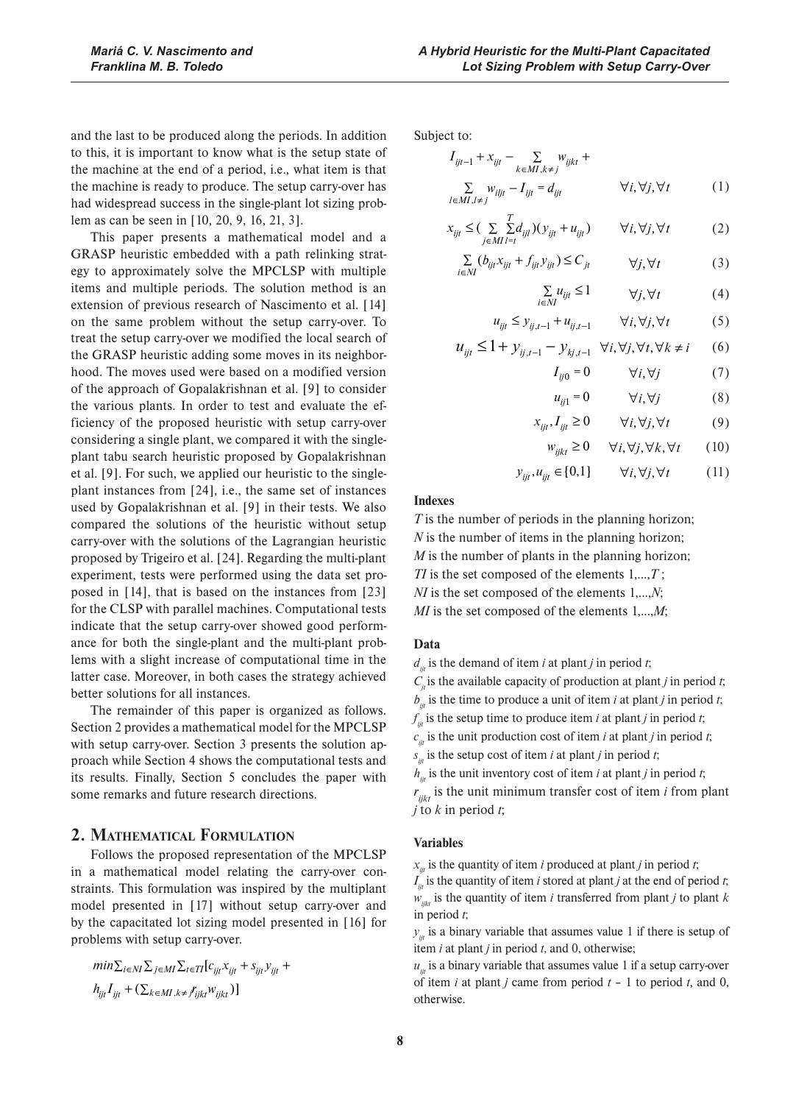and the last to be produced along the periods. In addition to this, it is important to know what is the setup state of the machine at the end of a period, i.e., what item is that the machine is ready to produce. The setup carry-over has had widespread success in the single-plant lot sizing problem as can be seen in [10, 20, 9, 16, 21, 3].

This paper presents a mathematical model and a GRASP heuristic embedded with a path relinking strategy to approximately solve the MPCLSP with multiple items and multiple periods. The solution method is an extension of previous research of Nascimento et al. [14] on the same problem without the setup carry-over. To treat the setup carry-over we modified the local search of the GRASP heuristic adding some moves in its neighborhood. The moves used were based on a modified version of the approach of Gopalakrishnan et al. [9] to consider the various plants. In order to test and evaluate the efficiency of the proposed heuristic with setup carry-over considering a single plant, we compared it with the singleplant tabu search heuristic proposed by Gopalakrishnan et al. [9]. For such, we applied our heuristic to the singleplant instances from [24], i.e., the same set of instances used by Gopalakrishnan et al. [9] in their tests. We also compared the solutions of the heuristic without setup carry-over with the solutions of the Lagrangian heuristic proposed by Trigeiro et al. [24]. Regarding the multi-plant experiment, tests were performed using the data set proposed in [14], that is based on the instances from [23] for the CLSP with parallel machines. Computational tests indicate that the setup carry-over showed good performance for both the single-plant and the multi-plant problems with a slight increase of computational time in the latter case. Moreover, in both cases the strategy achieved better solutions for all instances.

The remainder of this paper is organized as follows. Section 2 provides a mathematical model for the MPCLSP with setup carry-over. Section 3 presents the solution approach while Section 4 shows the computational tests and its results. Finally, Section 5 concludes the paper with some remarks and future research directions.

## **2. MATHEMATICAL FORMULATION**

Follows the proposed representation of the MPCLSP in a mathematical model relating the carry-over constraints. This formulation was inspired by the multiplant model presented in [17] without setup carry-over and by the capacitated lot sizing model presented in [16] for problems with setup carry-over.

$$
min \sum_{i \in NI} \sum_{j \in MI} \sum_{t \in TI} [c_{ijt}x_{ijt} + s_{ijt}y_{ijt} +h_{ijt}I_{ijt} + (\sum_{k \in MI, k \neq I} \sum_{ijkt} w_{ijkt})]
$$

Subject to:

$$
I_{ijt-1} + x_{ijt} - \sum_{k \in MI, k \neq j} w_{ijkt} + \sum_{l \in MI, l \neq j} w_{iljt} - I_{ijt} = d_{ijt} \qquad \forall i, \forall j, \forall t \qquad (1)
$$

$$
x_{ijt} \leq \left(\sum_{j \in MI - t} \sum_{j \in I} d_{ijt}\right) (y_{ijt} + u_{ijt}) \qquad \forall i, \forall j, \forall t \tag{2}
$$

$$
\sum_{i \in NI} (b_{ijt} x_{ijt} + f_{ijt} y_{ijt}) \le C_{jt} \qquad \forall j, \forall t
$$
 (3)

$$
\sum_{i \in NI} u_{ijt} \le 1 \qquad \forall j, \forall t \tag{4}
$$

$$
u_{ijt} \le y_{ij,t-1} + u_{ij,t-1} \qquad \forall i, \forall j, \forall t \tag{5}
$$

$$
u_{ijt} \le 1 + y_{ij,t-1} - y_{kj,t-1} \quad \forall i, \forall j, \forall t, \forall k \ne i \qquad (6)
$$

$$
I_{ij0} = 0 \t\t \forall i, \forall j \t\t (7)
$$
  

$$
u_{ij1} = 0 \t\t \forall i, \forall j \t\t (8)
$$

$$
x_{ijt}, I_{ijt} \ge 0 \qquad \forall i, \forall j, \forall t \tag{9}
$$

$$
w_{i j k t} \ge 0 \qquad \forall i, \forall j, \forall k, \forall t \qquad (10)
$$

$$
y_{ijt}, u_{ijt} \in [0,1] \qquad \forall i, \forall j, \forall t \tag{11}
$$

### **Indexes**

*T* is the number of periods in the planning horizon; *N* is the number of items in the planning horizon; *M* is the number of plants in the planning horizon; *TI* is the set composed of the elements 1,...,*T* ; *NI* is the set composed of the elements 1,...,*N*; *MI* is the set composed of the elements 1,...,*M*;

#### **Data**

 $d_{ij}$  is the demand of item *i* at plant *j* in period *t*;

 $C_{ij}$  is the available capacity of production at plant *j* in period *t*;

 $b_{ij}$  is the time to produce a unit of item *i* at plant *j* in period *t*;

 $f_{ijt}$  is the setup time to produce item *i* at plant *j* in period *t*;

 $c_{ij}$  is the unit production cost of item *i* at plant *j* in period *t*;

 $s_{ij}$  is the setup cost of item *i* at plant *j* in period *t*;

 $h_{ij}$  is the unit inventory cost of item *i* at plant *j* in period *t*;

 $r_{ijk}$  is the unit minimum transfer cost of item *i* from plant *j* to *k* in period *t*;

## **Variables**

 $x_{ij}$  is the quantity of item *i* produced at plant *j* in period *t*;

 $I_{ij}$  is the quantity of item *i* stored at plant *j* at the end of period *t*;  $w_{ijk}$  is the quantity of item *i* transferred from plant *j* to plant *k* in period *t*;

 $y_{ij}$  is a binary variable that assumes value 1 if there is setup of item *i* at plant *j* in period *t*, and 0, otherwise;

 $u_{ij}$  is a binary variable that assumes value 1 if a setup carry-over of item *i* at plant *j* came from period *t* – 1 to period *t*, and 0, otherwise.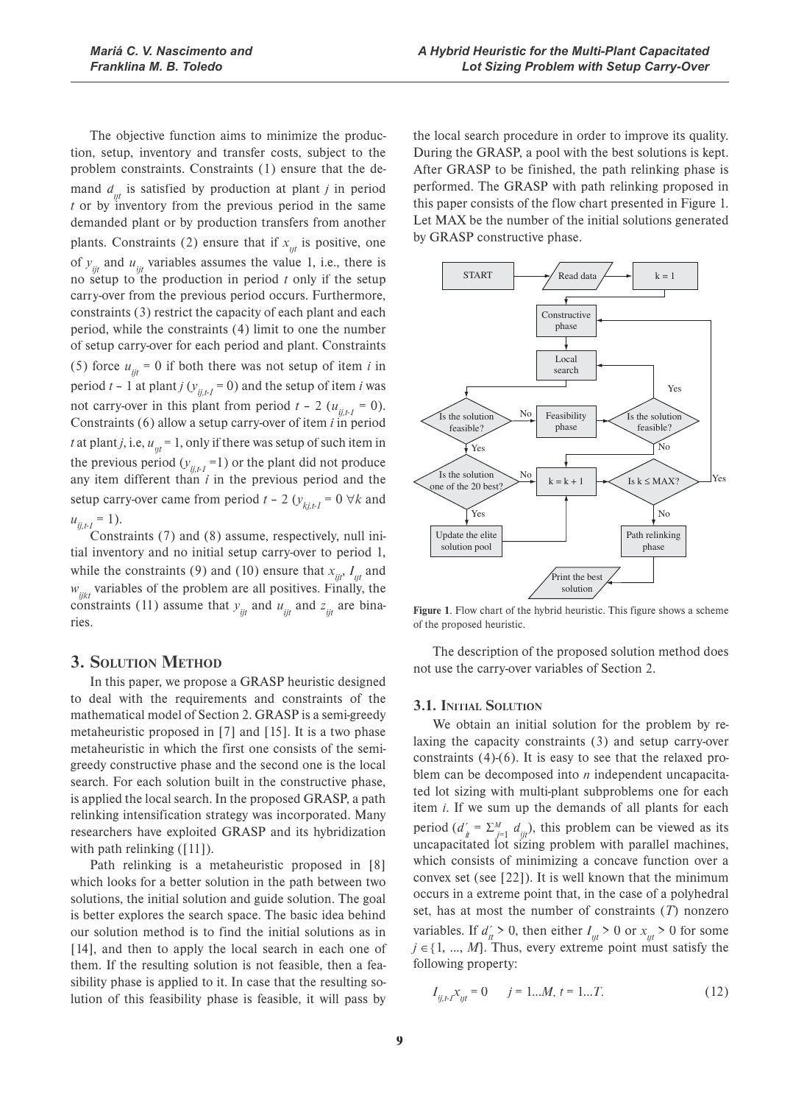The objective function aims to minimize the production, setup, inventory and transfer costs, subject to the problem constraints. Constraints (1) ensure that the demand  $d_{ijt}$  is satisfied by production at plant *j* in period *t* or by inventory from the previous period in the same demanded plant or by production transfers from another plants. Constraints (2) ensure that if  $x_{ijt}$  is positive, one of  $y_{ijt}$  and  $u_{ijt}$  variables assumes the value 1, i.e., there is no setup to the production in period *t* only if the setup carry-over from the previous period occurs. Furthermore, constraints (3) restrict the capacity of each plant and each period, while the constraints (4) limit to one the number of setup carry-over for each period and plant. Constraints (5) force  $u_{ii} = 0$  if both there was not setup of item *i* in period  $t - 1$  at plant *j* ( $y_{ij,t} = 0$ ) and the setup of item *i* was not carry-over in this plant from period  $t - 2$  ( $u_{i,j} = 0$ ). Constraints (6) allow a setup carry-over of item *i* in period *t* at plant *j*, i.e,  $u_{ijt} = 1$ , only if there was setup of such item in the previous period  $(y_{ij,t} = 1)$  or the plant did not produce any item different than *i* in the previous period and the setup carry-over came from period  $t - 2$  ( $y_{k,j,t-1} = 0 \forall k$  and  $u_{ij,t-l} = 1$ ).

Constraints (7) and (8) assume, respectively, null initial inventory and no initial setup carry-over to period 1, while the constraints (9) and (10) ensure that  $x_{ijt}$ ,  $I_{ijt}$  and  $w_{\text{ijkt}}$  variables of the problem are all positives. Finally, the constraints (11) assume that  $y_{ijt}$  and  $u_{ijt}$  and  $z_{ijt}$  are binaries.

## **3. SOLUTION METHOD**

In this paper, we propose a GRASP heuristic designed to deal with the requirements and constraints of the mathematical model of Section 2. GRASP is a semi-greedy metaheuristic proposed in [7] and [15]. It is a two phase metaheuristic in which the first one consists of the semigreedy constructive phase and the second one is the local search. For each solution built in the constructive phase, is applied the local search. In the proposed GRASP, a path relinking intensification strategy was incorporated. Many researchers have exploited GRASP and its hybridization with path relinking  $([11])$ .

Path relinking is a metaheuristic proposed in [8] which looks for a better solution in the path between two solutions, the initial solution and guide solution. The goal is better explores the search space. The basic idea behind our solution method is to find the initial solutions as in [14], and then to apply the local search in each one of them. If the resulting solution is not feasible, then a feasibility phase is applied to it. In case that the resulting solution of this feasibility phase is feasible, it will pass by

the local search procedure in order to improve its quality. During the GRASP, a pool with the best solutions is kept. After GRASP to be finished, the path relinking phase is performed. The GRASP with path relinking proposed in this paper consists of the flow chart presented in Figure 1. Let MAX be the number of the initial solutions generated by GRASP constructive phase.



**Figure 1**. Flow chart of the hybrid heuristic. This figure shows a scheme of the proposed heuristic.

The description of the proposed solution method does not use the carry-over variables of Section 2.

#### **3.1. INITIAL SOLUTION**

We obtain an initial solution for the problem by relaxing the capacity constraints (3) and setup carry-over constraints (4)-(6). It is easy to see that the relaxed problem can be decomposed into *n* independent uncapacitated lot sizing with multi-plant subproblems one for each item *i*. If we sum up the demands of all plants for each period  $(d'_{ii} = \sum_{j=1}^{M} d_{ijt})$ , this problem can be viewed as its uncapacitated lot sizing problem with parallel machines, which consists of minimizing a concave function over a convex set (see [22]). It is well known that the minimum occurs in a extreme point that, in the case of a polyhedral set, has at most the number of constraints (*T*) nonzero variables. If  $d'_{it} > 0$ , then either  $I_{ijt} > 0$  or  $x_{ijt} > 0$  for some  $j \in \{1, ..., M\}$ . Thus, every extreme point must satisfy the following property:

$$
I_{ij,t} x_{ijt} = 0 \t j = 1...M, t = 1...T.
$$
 (12)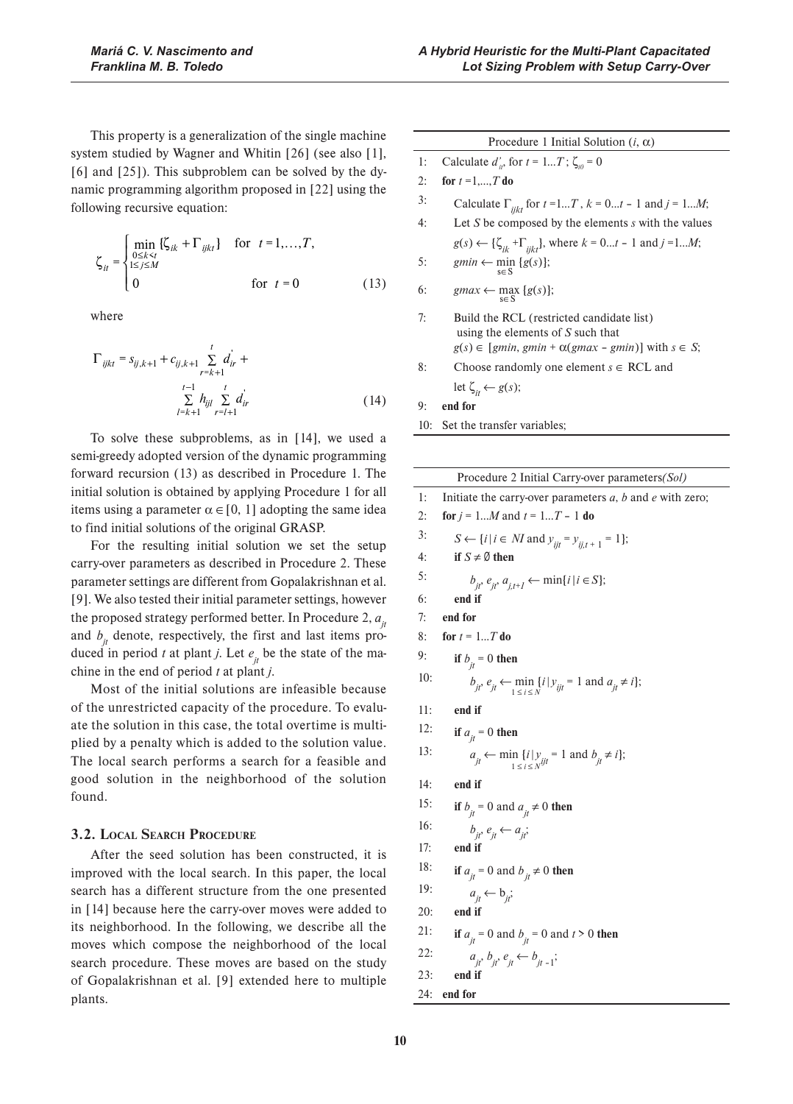This property is a generalization of the single machine system studied by Wagner and Whitin [26] (see also [1], [6] and [25]). This subproblem can be solved by the dynamic programming algorithm proposed in [22] using the following recursive equation:

$$
\zeta_{it} = \begin{cases}\n\min_{\substack{0 \le k < t \\ 1 \le j \le M}} \{\zeta_{ik} + \Gamma_{ijkt}\} & \text{for } t = 1, \dots, T, \\
0 & \text{for } t = 0\n\end{cases} \tag{13}
$$

where

$$
\Gamma_{ijkl} = s_{ij,k+1} + c_{ij,k+1} \sum_{r=k+1}^{t} d_{ir}^{i} + \sum_{l=k+1}^{t-1} h_{ijl} \sum_{r=l+1}^{t} d_{ir}^{i}
$$
\n(14)

To solve these subproblems, as in [14], we used a semi-greedy adopted version of the dynamic programming forward recursion (13) as described in Procedure 1. The initial solution is obtained by applying Procedure 1 for all items using a parameter  $\alpha \in [0, 1]$  adopting the same idea to find initial solutions of the original GRASP.

For the resulting initial solution we set the setup carry-over parameters as described in Procedure 2. These parameter settings are different from Gopalakrishnan et al. [9]. We also tested their initial parameter settings, however the proposed strategy performed better. In Procedure 2,  $a_{ij}$ and  $b_{ij}$  denote, respectively, the first and last items produced in period *t* at plant *j*. Let  $e_{it}$  be the state of the machine in the end of period *t* at plant *j*.

Most of the initial solutions are infeasible because of the unrestricted capacity of the procedure. To evaluate the solution in this case, the total overtime is multiplied by a penalty which is added to the solution value. The local search performs a search for a feasible and good solution in the neighborhood of the solution found.

#### **3.2. LOCAL SEARCH PROCEDURE**

After the seed solution has been constructed, it is improved with the local search. In this paper, the local search has a different structure from the one presented in [14] because here the carry-over moves were added to its neighborhood. In the following, we describe all the moves which compose the neighborhood of the local search procedure. These moves are based on the study of Gopalakrishnan et al. [9] extended here to multiple plants.

|     | Procedure 1 Initial Solution $(i, \alpha)$                                                                                                         |
|-----|----------------------------------------------------------------------------------------------------------------------------------------------------|
| 1:  | Calculate $d'_{ii}$ , for $t = 1T$ ; $\zeta_{ii} = 0$                                                                                              |
| 2:  | for $t = 1, , T$ do                                                                                                                                |
| 3:  | Calculate $\Gamma_{iikt}$ for $t = 1T$ , $k = 0t - 1$ and $j = 1M$ ;                                                                               |
| 4:  | Let S be composed by the elements $s$ with the values                                                                                              |
|     | $g(s) \leftarrow {\zeta_{ik} + \Gamma_{jik} \atop jik}$ , where $k = 0t - 1$ and $j = 1M$ ;                                                        |
| 5:  | $gmin \leftarrow \min_{s \in S} {g(s)};$                                                                                                           |
| 6:  | $\text{gmax} \leftarrow \max_{s \in S} \{g(s)\};$                                                                                                  |
| 7:  | Build the RCL (restricted candidate list)<br>using the elements of $S$ such that<br>$g(s) \in [gmin, gmin + \alpha(gmax - gmin)]$ with $s \in S$ ; |
| 8:  | Choose randomly one element $s \in RCL$ and                                                                                                        |
|     | let $\zeta_{it} \leftarrow g(s)$ ;                                                                                                                 |
| 9:  | end for                                                                                                                                            |
| 10: | Set the transfer variables;                                                                                                                        |
|     |                                                                                                                                                    |

|     | Procedure 2 Initial Carry-over parameters(Sol)                                                 |
|-----|------------------------------------------------------------------------------------------------|
| 1:  | Initiate the carry-over parameters $a$ , $b$ and $e$ with zero;                                |
| 2:  | for $j = 1M$ and $t = 1T - 1$ do                                                               |
| 3:  | $S \leftarrow \{i \mid i \in M \text{ and } y_{ijt} = y_{ij, t+1} = 1\};$                      |
| 4:  | if $S \neq \emptyset$ then                                                                     |
| 5:  | $b_{it}$ , $e_{it}$ , $a_{j,t+1}$ $\leftarrow$ min{ $i   i \in S$ };                           |
| 6:  | end if                                                                                         |
| 7:  | end for                                                                                        |
| 8:  | for $t = 1T$ do                                                                                |
| 9:  | if $b_{ii} = 0$ then                                                                           |
| 10: | $b_{it'} e_{it} \leftarrow \min_{1 \le i \le N} \{i   y_{it} = 1 \text{ and } a_{it} \ne i\};$ |
| 11: | end if                                                                                         |
| 12: | if $a_{it} = 0$ then                                                                           |
| 13: | $a_{jt} \leftarrow \min_{1 \le i \le N} \{i   y_{ij} = 1 \text{ and } b_{jt} \ne i\};$         |
| 14: | end if                                                                                         |
| 15: | if $b_{it} = 0$ and $a_{it} \neq 0$ then                                                       |
| 16: | $b_{it}$ , $e_{it} \leftarrow a_{it}$                                                          |
| 17: | end if                                                                                         |
| 18: | if $a_{it} = 0$ and $b_{it} \neq 0$ then                                                       |
| 19: | $a_{it} \leftarrow b_{it}$                                                                     |
| 20: | end if                                                                                         |
| 21: | if $a_{it} = 0$ and $b_{it} = 0$ and $t > 0$ then                                              |
| 22: | $a_{it}$ , $b_{it}$ , $e_{it}$ $\leftarrow$ $b_{it-1}$ ;                                       |
| 23: | end if                                                                                         |
| 24: | end for                                                                                        |
|     |                                                                                                |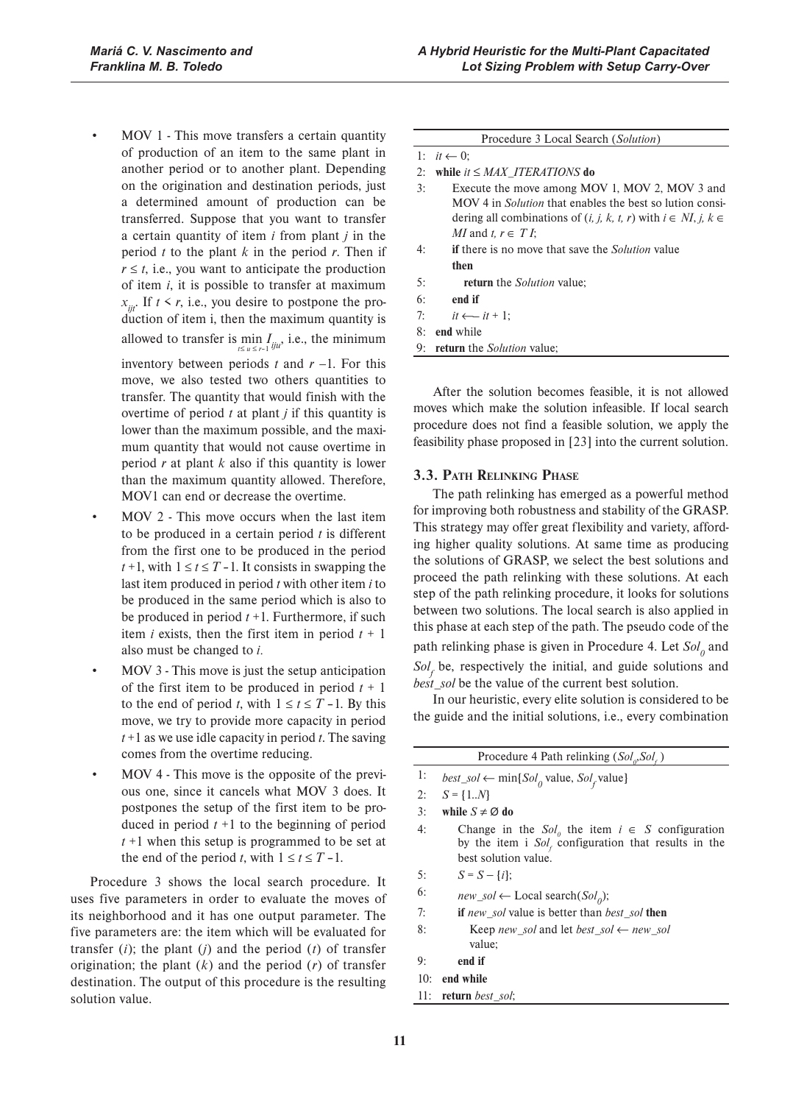- $MOV1$  This move transfers a certain quantity of production of an item to the same plant in another period or to another plant. Depending on the origination and destination periods, just a determined amount of production can be transferred. Suppose that you want to transfer a certain quantity of item *i* from plant *j* in the period  $t$  to the plant  $k$  in the period  $r$ . Then if  $r \leq t$ , i.e., you want to anticipate the production of item *i*, it is possible to transfer at maximum  $x_{ij}$ . If  $t \le r$ , i.e., you desire to postpone the production of item i, then the maximum quantity is allowed to transfer is  $\min_{t \le u \le r-1} I_{ju}$ , i.e., the minimum inventory between periods  $t$  and  $r - 1$ . For this move, we also tested two others quantities to transfer. The quantity that would finish with the overtime of period *t* at plant *j* if this quantity is lower than the maximum possible, and the maximum quantity that would not cause overtime in period *r* at plant *k* also if this quantity is lower than the maximum quantity allowed. Therefore,
- MOV 2 This move occurs when the last item to be produced in a certain period *t* is different from the first one to be produced in the period  $t + 1$ , with  $1 \le t \le T - 1$ . It consists in swapping the last item produced in period *t* with other item *i* to be produced in the same period which is also to be produced in period *t* +1. Furthermore, if such item *i* exists, then the first item in period  $t + 1$ also must be changed to *i*

MOV1 can end or decrease the overtime.

- MOV 3 This move is just the setup anticipation of the first item to be produced in period  $t + 1$ to the end of period *t*, with  $1 \le t \le T - 1$ . By this move, we try to provide more capacity in period *t* +1 as we use idle capacity in period *t*. The saving comes from the overtime reducing.
- MOV 4 This move is the opposite of the previous one, since it cancels what MOV 3 does. It postpones the setup of the first item to be produced in period  $t + 1$  to the beginning of period *t* +1 when this setup is programmed to be set at the end of the period *t*, with  $1 \le t \le T - 1$ .

Procedure 3 shows the local search procedure. It uses five parameters in order to evaluate the moves of its neighborhood and it has one output parameter. The five parameters are: the item which will be evaluated for transfer  $(i)$ ; the plant  $(j)$  and the period  $(t)$  of transfer origination; the plant (*k*) and the period (*r*) of transfer destination. The output of this procedure is the resulting solution value.

|    | Procedure 3 Local Search (Solution)                                    |
|----|------------------------------------------------------------------------|
|    | 1: $it \leftarrow 0$ :                                                 |
| 2: | while $it \le MAX$ ITERATIONS do                                       |
| 3: | Execute the move among MOV 1, MOV 2, MOV 3 and                         |
|    | MOV 4 in <i>Solution</i> that enables the best so lution consi-        |
|    | dering all combinations of $(i, j, k, t, r)$ with $i \in NI, j, k \in$ |
|    | <i>MI</i> and t, $r \in T$ I;                                          |
| 4: | <b>if</b> there is no move that save the <i>Solution</i> value         |
|    | then                                                                   |
| 5: | <b>return</b> the <i>Solution</i> value:                               |
| 6: | end if                                                                 |
| 7: | $it \leftarrow$ it + 1:                                                |
| 8: | end while                                                              |

After the solution becomes feasible, it is not allowed moves which make the solution infeasible. If local search procedure does not find a feasible solution, we apply the feasibility phase proposed in [23] into the current solution.

#### **3.3. PATH RELINKING PHASE**

**return** the *Solution* value;

The path relinking has emerged as a powerful method for improving both robustness and stability of the GRASP. This strategy may offer great flexibility and variety, affording higher quality solutions. At same time as producing the solutions of GRASP, we select the best solutions and proceed the path relinking with these solutions. At each step of the path relinking procedure, it looks for solutions between two solutions. The local search is also applied in this phase at each step of the path. The pseudo code of the path relinking phase is given in Procedure 4. Let  $Sol_0$  and  $Sol<sub>f</sub>$  be, respectively the initial, and guide solutions and *best\_sol* be the value of the current best solution.

In our heuristic, every elite solution is considered to be the guide and the initial solutions, i.e., every combination

| Procedure 4 Path relinking $(Sol_o, Sol_c)$ |                                                                                                                                          |  |  |
|---------------------------------------------|------------------------------------------------------------------------------------------------------------------------------------------|--|--|
| 1:                                          | <i>best_sol</i> $\leftarrow$ min{ <i>Sol<sub>0</sub></i> value, <i>Sol<sub>f</sub></i> value}                                            |  |  |
| 2:                                          | $S = \{1N\}$                                                                                                                             |  |  |
| 3:                                          | while $S \neq \emptyset$ do                                                                                                              |  |  |
| 4:                                          | Change in the $Sol_0$ the item $i \in S$ configuration<br>by the item i $Solf$ configuration that results in the<br>best solution value. |  |  |
| 5:                                          | $S = S - \{i\}$ :                                                                                                                        |  |  |
| 6:                                          | $new\_sol \leftarrow Local search(Solo)$ ;                                                                                               |  |  |
| 7:                                          | <b>if</b> new sol value is better than best sol <b>then</b>                                                                              |  |  |
| 8:                                          | Keep new sol and let best sol $\leftarrow$ new sol<br>value:                                                                             |  |  |
| 9:                                          | end if                                                                                                                                   |  |  |
| 10:                                         | end while                                                                                                                                |  |  |
| 11:                                         | <b>return</b> best sol;                                                                                                                  |  |  |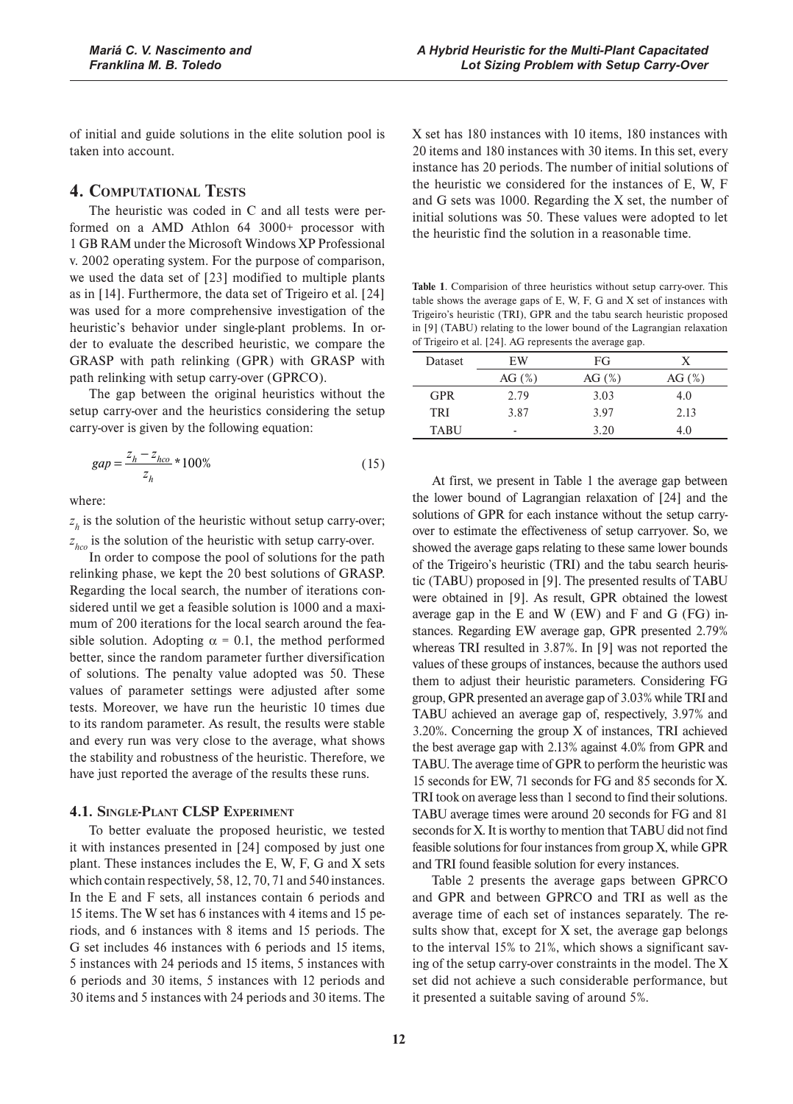of initial and guide solutions in the elite solution pool is taken into account.

## **4. COMPUTATIONAL TESTS**

The heuristic was coded in C and all tests were performed on a AMD Athlon 64 3000+ processor with 1 GB RAM under the Microsoft Windows XP Professional v. 2002 operating system. For the purpose of comparison, we used the data set of [23] modified to multiple plants as in [14]. Furthermore, the data set of Trigeiro et al. [24] was used for a more comprehensive investigation of the heuristic's behavior under single-plant problems. In order to evaluate the described heuristic, we compare the GRASP with path relinking (GPR) with GRASP with path relinking with setup carry-over (GPRCO).

The gap between the original heuristics without the setup carry-over and the heuristics considering the setup carry-over is given by the following equation:

$$
gap = \frac{z_h - z_{hco}}{z_h} * 100\%
$$
 (15)

where:

 $z<sub>k</sub>$  is the solution of the heuristic without setup carry-over; *h z hco* is the solution of the heuristic with setup carry-over.

In order to compose the pool of solutions for the path relinking phase, we kept the 20 best solutions of GRASP. Regarding the local search, the number of iterations considered until we get a feasible solution is 1000 and a maximum of 200 iterations for the local search around the feasible solution. Adopting  $\alpha = 0.1$ , the method performed better, since the random parameter further diversification of solutions. The penalty value adopted was 50. These values of parameter settings were adjusted after some tests. Moreover, we have run the heuristic 10 times due to its random parameter. As result, the results were stable and every run was very close to the average, what shows the stability and robustness of the heuristic. Therefore, we have just reported the average of the results these runs.

#### **4.1. SINGLE-PLANT CLSP EXPERIMENT**

To better evaluate the proposed heuristic, we tested it with instances presented in [24] composed by just one plant. These instances includes the E, W, F, G and X sets which contain respectively, 58, 12, 70, 71 and 540 instances. In the E and F sets, all instances contain 6 periods and 15 items. The W set has 6 instances with 4 items and 15 periods, and 6 instances with 8 items and 15 periods. The G set includes 46 instances with 6 periods and 15 items, 5 instances with 24 periods and 15 items, 5 instances with 6 periods and 30 items, 5 instances with 12 periods and 30 items and 5 instances with 24 periods and 30 items. The X set has 180 instances with 10 items, 180 instances with 20 items and 180 instances with 30 items. In this set, every instance has 20 periods. The number of initial solutions of the heuristic we considered for the instances of E, W, F and G sets was 1000. Regarding the X set, the number of initial solutions was 50. These values were adopted to let the heuristic find the solution in a reasonable time.

**Table 1**. Comparision of three heuristics without setup carry-over. This table shows the average gaps of E, W, F, G and X set of instances with Trigeiro's heuristic (TRI), GPR and the tabu search heuristic proposed in [9] (TABU) relating to the lower bound of the Lagrangian relaxation of Trigeiro et al. [24]. AG represents the average gap.

| Dataset     | FG<br>EW  |           | X         |
|-------------|-----------|-----------|-----------|
|             | AG $(\%)$ | AG $(\%)$ | AG $(\%)$ |
| <b>GPR</b>  | 2.79      | 3.03      | 4.0       |
| TRI         | 3.87      | 3.97      | 2.13      |
| <b>TABU</b> | -         | 3.20      | 4.0       |

At first, we present in Table 1 the average gap between the lower bound of Lagrangian relaxation of [24] and the solutions of GPR for each instance without the setup carryover to estimate the effectiveness of setup carryover. So, we showed the average gaps relating to these same lower bounds of the Trigeiro's heuristic (TRI) and the tabu search heuristic (TABU) proposed in [9]. The presented results of TABU were obtained in [9]. As result, GPR obtained the lowest average gap in the E and W (EW) and F and G (FG) instances. Regarding EW average gap, GPR presented 2.79% whereas TRI resulted in 3.87%. In [9] was not reported the values of these groups of instances, because the authors used them to adjust their heuristic parameters. Considering FG group, GPR presented an average gap of 3.03% while TRI and TABU achieved an average gap of, respectively, 3.97% and 3.20%. Concerning the group X of instances, TRI achieved the best average gap with 2.13% against 4.0% from GPR and TABU. The average time of GPR to perform the heuristic was 15 seconds for EW, 71 seconds for FG and 85 seconds for X. TRI took on average less than 1 second to find their solutions. TABU average times were around 20 seconds for FG and 81 seconds for X. It is worthy to mention that TABU did not find feasible solutions for four instances from group X, while GPR and TRI found feasible solution for every instances.

Table 2 presents the average gaps between GPRCO and GPR and between GPRCO and TRI as well as the average time of each set of instances separately. The results show that, except for  $X$  set, the average gap belongs to the interval 15% to 21%, which shows a significant saving of the setup carry-over constraints in the model. The X set did not achieve a such considerable performance, but it presented a suitable saving of around 5%.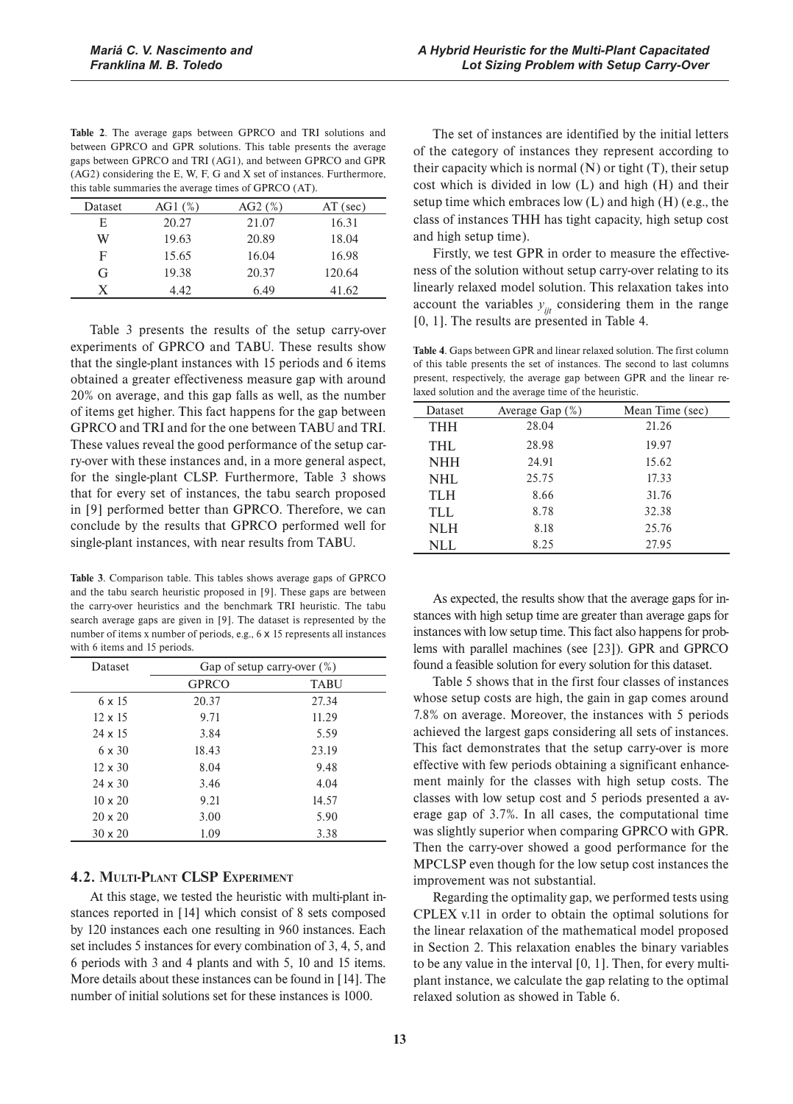Table 2. The average gaps between GPRCO and TRI solutions and between GPRCO and GPR solutions. This table presents the average gaps between GPRCO and TRI (AG1), and between GPRCO and GPR (AG2) considering the E, W, F, G and X set of instances. Furthermore, this table summaries the average times of GPRCO (AT).

| Dataset | AG1(%) | $AG2$ (%) | $AT$ (sec) |
|---------|--------|-----------|------------|
| Е       | 20.27  | 21.07     | 16.31      |
| W       | 19.63  | 20.89     | 18.04      |
| F       | 15.65  | 16.04     | 16.98      |
| G       | 19.38  | 20.37     | 120.64     |
| X.      | 4.42   | 6.49      | 41.62      |

Table 3 presents the results of the setup carry-over experiments of GPRCO and TABU. These results show that the single-plant instances with 15 periods and 6 items obtained a greater effectiveness measure gap with around 20% on average, and this gap falls as well, as the number of items get higher. This fact happens for the gap between GPRCO and TRI and for the one between TABU and TRI. These values reveal the good performance of the setup carry-over with these instances and, in a more general aspect, for the single-plant CLSP. Furthermore, Table 3 shows that for every set of instances, the tabu search proposed in [9] performed better than GPRCO. Therefore, we can conclude by the results that GPRCO performed well for single-plant instances, with near results from TABU.

**Table 3.** Comparison table. This tables shows average gaps of GPRCO and the tabu search heuristic proposed in [9]. These gaps are between the carry-over heuristics and the benchmark TRI heuristic. The tabu search average gaps are given in [9]. The dataset is represented by the number of items x number of periods, e.g., 6 x 15 represents all instances with 6 items and 15 periods.

| Dataset        | Gap of setup carry-over $(\%)$ |             |  |
|----------------|--------------------------------|-------------|--|
|                | <b>GPRCO</b>                   | <b>TABU</b> |  |
| $6 \times 15$  | 20.37                          | 27.34       |  |
| $12 \times 15$ | 9.71                           | 11.29       |  |
| $24 \times 15$ | 3.84                           | 5.59        |  |
| $6 \times 30$  | 18.43                          | 23.19       |  |
| $12 \times 30$ | 8.04                           | 9.48        |  |
| $24 \times 30$ | 3.46                           | 4.04        |  |
| $10 \times 20$ | 9.21                           | 14.57       |  |
| $20 \times 20$ | 3.00                           | 5.90        |  |
| $30 \times 20$ | 1.09                           | 3.38        |  |

#### **4.2. MULTI-PLANT CLSP EXPERIMENT**

At this stage, we tested the heuristic with multi-plant instances reported in [14] which consist of 8 sets composed by 120 instances each one resulting in 960 instances. Each set includes 5 instances for every combination of 3, 4, 5, and 6 periods with 3 and 4 plants and with 5, 10 and 15 items. More details about these instances can be found in [14]. The number of initial solutions set for these instances is 1000.

The set of instances are identified by the initial letters of the category of instances they represent according to their capacity which is normal  $(N)$  or tight  $(T)$ , their setup cost which is divided in low (L) and high (H) and their setup time which embraces low (L) and high (H) (e.g., the class of instances THH has tight capacity, high setup cost and high setup time).

Firstly, we test GPR in order to measure the effectiveness of the solution without setup carry-over relating to its linearly relaxed model solution. This relaxation takes into account the variables  $y_{ijt}$  considering them in the range [0, 1]. The results are presented in Table 4.

**Table 4**. Gaps between GPR and linear relaxed solution. The first column of this table presents the set of instances. The second to last columns present, respectively, the average gap between GPR and the linear relaxed solution and the average time of the heuristic.

| Dataset    | Average Gap $(\% )$ | Mean Time (sec) |
|------------|---------------------|-----------------|
| <b>THH</b> | 28.04               | 21.26           |
| <b>THL</b> | 28.98               | 19.97           |
| <b>NHH</b> | 24.91               | 15.62           |
| NHL        | 25.75               | 17.33           |
| <b>TLH</b> | 8.66                | 31.76           |
| TLL        | 8.78                | 32.38           |
| <b>NLH</b> | 8.18                | 25.76           |
| NLL        | 8.25                | 27.95           |

As expected, the results show that the average gaps for instances with high setup time are greater than average gaps for instances with low setup time. This fact also happens for problems with parallel machines (see [23]). GPR and GPRCO found a feasible solution for every solution for this dataset.

Table 5 shows that in the first four classes of instances whose setup costs are high, the gain in gap comes around 7.8% on average. Moreover, the instances with 5 periods achieved the largest gaps considering all sets of instances. This fact demonstrates that the setup carry-over is more effective with few periods obtaining a significant enhancement mainly for the classes with high setup costs. The classes with low setup cost and 5 periods presented a average gap of 3.7%. In all cases, the computational time was slightly superior when comparing GPRCO with GPR. Then the carry-over showed a good performance for the MPCLSP even though for the low setup cost instances the improvement was not substantial.

Regarding the optimality gap, we performed tests using CPLEX v.11 in order to obtain the optimal solutions for the linear relaxation of the mathematical model proposed in Section 2. This relaxation enables the binary variables to be any value in the interval [0, 1]. Then, for every multiplant instance, we calculate the gap relating to the optimal relaxed solution as showed in Table 6.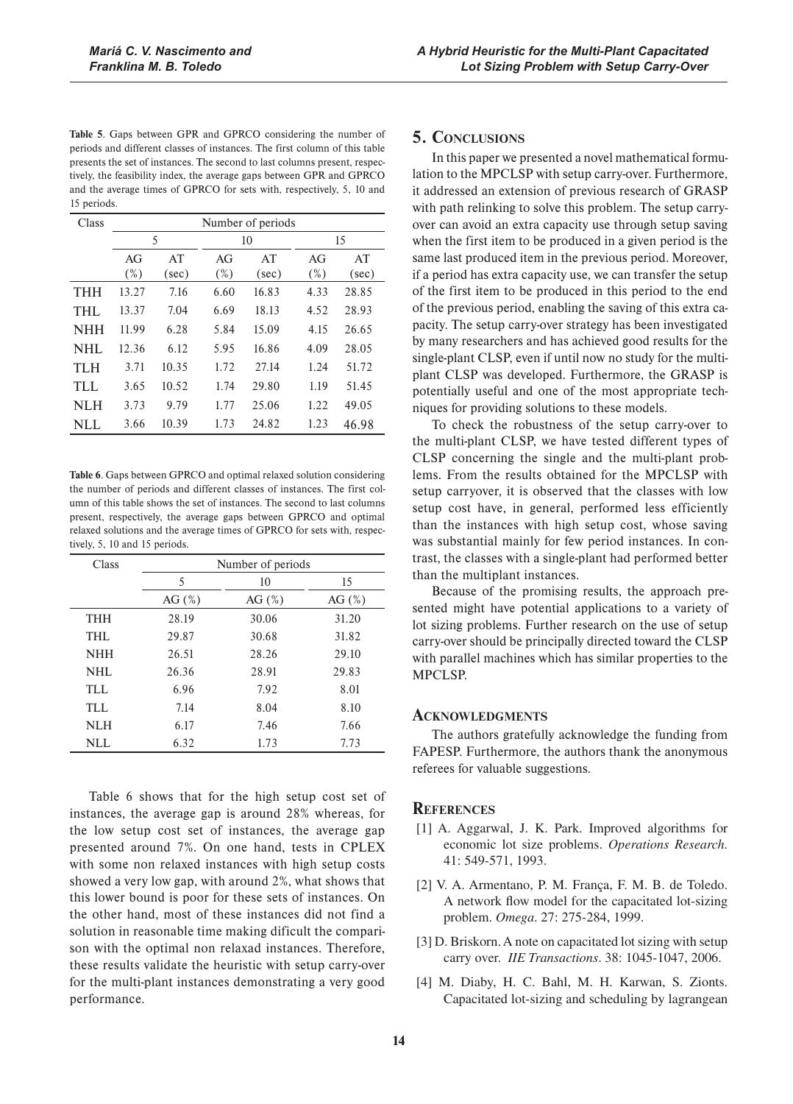Table 5. Gaps between GPR and GPRCO considering the number of periods and different classes of instances. The first column of this table presents the set of instances. The second to last columns present, respectively, the feasibility index, the average gaps between GPR and GPRCO and the average times of GPRCO for sets with, respectively, 5, 10 and 15 periods.

| Class      | Number of periods |       |        |       |        |       |  |
|------------|-------------------|-------|--------|-------|--------|-------|--|
|            | 5                 |       | 10     |       |        | 15    |  |
|            | AG                | AT    | AG     | AT    | AG     | AT    |  |
|            | $(\%)$            | (sec) | $(\%)$ | (sec) | $(\%)$ | (sec) |  |
| <b>THH</b> | 13.27             | 7.16  | 6.60   | 16.83 | 4.33   | 28.85 |  |
| THL        | 13.37             | 7.04  | 6.69   | 18.13 | 4.52   | 28.93 |  |
| <b>NHH</b> | 11.99             | 6.28  | 5.84   | 15.09 | 4.15   | 26.65 |  |
| NHL        | 12.36             | 6.12  | 5.95   | 16.86 | 4.09   | 28.05 |  |
| TLH        | 3.71              | 10.35 | 1.72   | 27.14 | 1.24   | 51.72 |  |
| TLL.       | 3.65              | 10.52 | 1.74   | 29.80 | 1.19   | 51.45 |  |
| NLH        | 3.73              | 9.79  | 1.77   | 25.06 | 1.22   | 49.05 |  |
| <b>NLL</b> | 3.66              | 10.39 | 1.73   | 24.82 | 1.23   | 46.98 |  |

Table 6. Gaps between GPRCO and optimal relaxed solution considering the number of periods and different classes of instances. The first column of this table shows the set of instances. The second to last columns present, respectively, the average gaps between GPRCO and optimal relaxed solutions and the average times of GPRCO for sets with, respectively, 5, 10 and 15 periods.

| Class      | Number of periods |           |           |  |
|------------|-------------------|-----------|-----------|--|
|            | 5                 | 10        | 15        |  |
|            | AG $(\%)$         | AG $(\%)$ | AG $(\%)$ |  |
| <b>THH</b> | 28.19             | 30.06     | 31.20     |  |
| THL        | 29.87             | 30.68     | 31.82     |  |
| <b>NHH</b> | 26.51             | 28.26     | 29.10     |  |
| NHL        | 26.36             | 28.91     | 29.83     |  |
| TLL        | 6.96              | 7.92      | 8.01      |  |
| TLL        | 7.14              | 8.04      | 8.10      |  |
| <b>NLH</b> | 6.17              | 7.46      | 7.66      |  |
| NLL        | 6.32              | 1.73      | 7.73      |  |

Table 6 shows that for the high setup cost set of instances, the average gap is around 28% whereas, for the low setup cost set of instances, the average gap presented around 7%. On one hand, tests in CPLEX with some non relaxed instances with high setup costs showed a very low gap, with around 2%, what shows that this lower bound is poor for these sets of instances. On the other hand, most of these instances did not find a solution in reasonable time making dificult the comparison with the optimal non relaxad instances. Therefore, these results validate the heuristic with setup carry-over for the multi-plant instances demonstrating a very good performance.

## **5. CONCLUSIONS**

In this paper we presented a novel mathematical formulation to the MPCLSP with setup carry-over. Furthermore, it addressed an extension of previous research of GRASP with path relinking to solve this problem. The setup carryover can avoid an extra capacity use through setup saving when the first item to be produced in a given period is the same last produced item in the previous period. Moreover, if a period has extra capacity use, we can transfer the setup of the first item to be produced in this period to the end of the previous period, enabling the saving of this extra capacity. The setup carry-over strategy has been investigated by many researchers and has achieved good results for the single-plant CLSP, even if until now no study for the multiplant CLSP was developed. Furthermore, the GRASP is potentially useful and one of the most appropriate techniques for providing solutions to these models.

To check the robustness of the setup carry-over to the multi-plant CLSP, we have tested different types of CLSP concerning the single and the multi-plant problems. From the results obtained for the MPCLSP with setup carryover, it is observed that the classes with low setup cost have, in general, performed less efficiently than the instances with high setup cost, whose saving was substantial mainly for few period instances. In contrast, the classes with a single-plant had performed better than the multiplant instances.

Because of the promising results, the approach presented might have potential applications to a variety of lot sizing problems. Further research on the use of setup carry-over should be principally directed toward the CLSP with parallel machines which has similar properties to the MPCLSP.

#### **ACKNOWLEDGMENTS**

The authors gratefully acknowledge the funding from FAPESP. Furthermore, the authors thank the anonymous referees for valuable suggestions.

#### **REFERENCES**

- [1] A. Aggarwal, J. K. Park. Improved algorithms for economic lot size problems. *Operations Research*. 41: 549-571, 1993.
- [2] V. A. Armentano, P. M. França, F. M. B. de Toledo. A network flow model for the capacitated lot-sizing problem. *Omega*. 27: 275-284, 1999.
- [3] D. Briskorn. A note on capacitated lot sizing with setup carry over. *IIE Transactions*. 38: 1045-1047, 2006.
- [4] M. Diaby, H. C. Bahl, M. H. Karwan, S. Zionts. Capacitated lot-sizing and scheduling by lagrangean